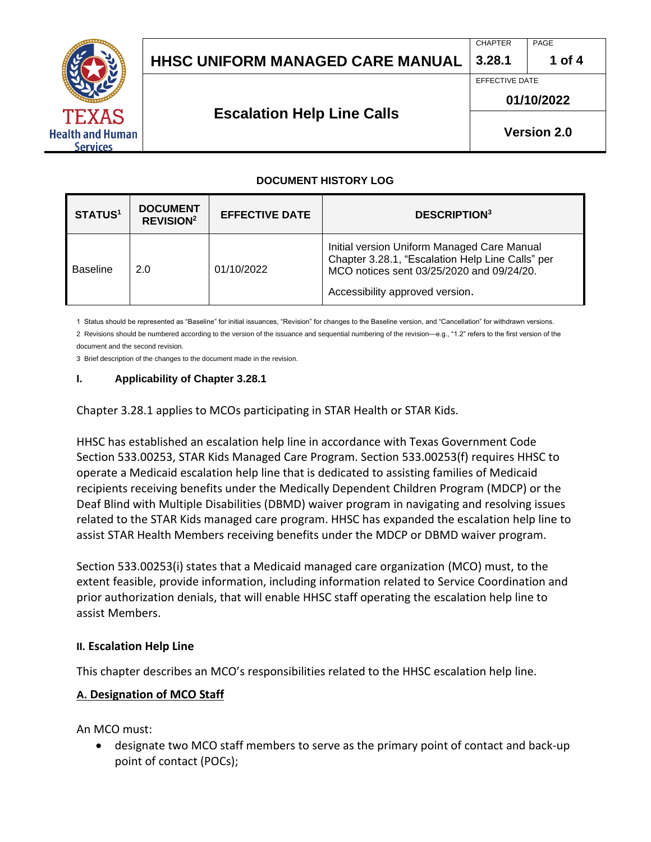

# **HHSC Uniform Managed Care MANUAL HHSC UNIFORM MANAGED CARE MANUAL 3.28.1 1 of 4**

CHAPTER PAGE

EFFECTIVE DATE

#### **01/10/2022**

**Version 2.0**

**Escalation Help Line Calls** 

#### **DOCUMENT HISTORY LOG**

| <b>STATUS<sup>1</sup></b> | <b>DOCUMENT</b><br><b>REVISION<sup>2</sup></b> | <b>EFFECTIVE DATE</b> | <b>DESCRIPTION3</b>                                                                                                                                                             |
|---------------------------|------------------------------------------------|-----------------------|---------------------------------------------------------------------------------------------------------------------------------------------------------------------------------|
| Baseline                  | 2.0                                            | 01/10/2022            | Initial version Uniform Managed Care Manual<br>Chapter 3.28.1, "Escalation Help Line Calls" per<br>MCO notices sent 03/25/2020 and 09/24/20.<br>Accessibility approved version. |

1 Status should be represented as "Baseline" for initial issuances, "Revision" for changes to the Baseline version, and "Cancellation" for withdrawn versions. 2 Revisions should be numbered according to the version of the issuance and sequential numbering of the revision—e.g., "1.2" refers to the first version of the document and the second revision.

3 Brief description of the changes to the document made in the revision.

#### **I. Applicability of Chapter 3.28.1**

Chapter 3.28.1 applies to MCOs participating in STAR Health or STAR Kids.

HHSC has established an escalation help line in accordance with Texas Government Code Section 533.00253, STAR Kids Managed Care Program. Section 533.00253(f) requires HHSC to operate a Medicaid escalation help line that is dedicated to assisting families of Medicaid recipients receiving benefits under the Medically Dependent Children Program (MDCP) or the Deaf Blind with Multiple Disabilities (DBMD) waiver program in navigating and resolving issues related to the STAR Kids managed care program. HHSC has expanded the escalation help line to assist STAR Health Members receiving benefits under the MDCP or DBMD waiver program.

Section 533.00253(i) states that a Medicaid managed care organization (MCO) must, to the extent feasible, provide information, including information related to Service Coordination and prior authorization denials, that will enable HHSC staff operating the escalation help line to assist Members.

#### **II. Escalation Help Line**

This chapter describes an MCO's responsibilities related to the HHSC escalation help line.

#### **A. Designation of MCO Staff**

An MCO must:

• designate two MCO staff members to serve as the primary point of contact and back-up point of contact (POCs);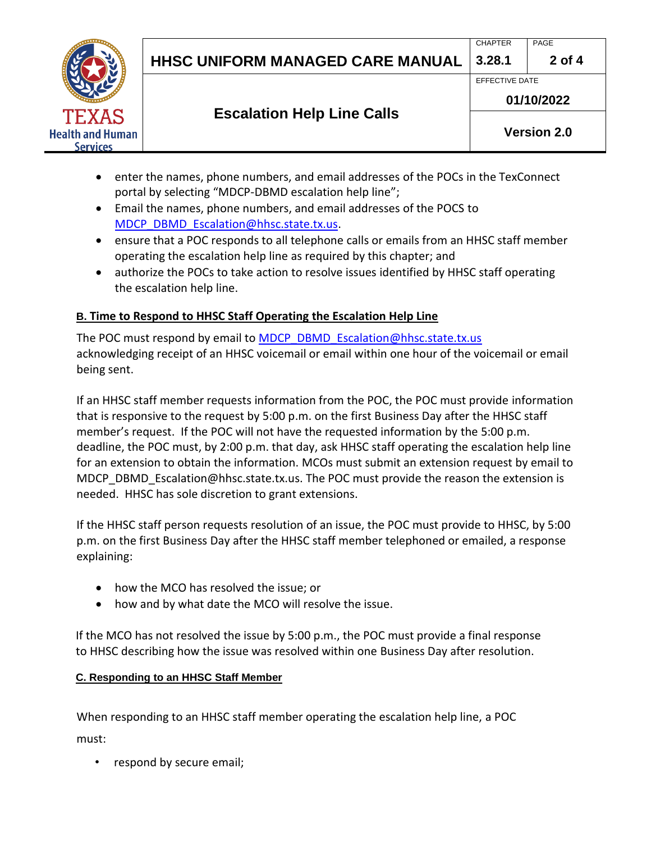

- enter the names, phone numbers, and email addresses of the POCs in the TexConnect portal by selecting "MDCP-DBMD escalation help line";
- Email the names, phone numbers, and email addresses of the POCS to [MDCP\\_DBMD\\_Escalation@hhsc.state.tx.us.](mailto:MDCP_DBMD_Escalation@hhsc.state.tx.us)
- ensure that a POC responds to all telephone calls or emails from an HHSC staff member operating the escalation help line as required by this chapter; and
- authorize the POCs to take action to resolve issues identified by HHSC staff operating the escalation help line.

#### **B. Time to Respond to HHSC Staff Operating the Escalation Help Line**

The POC must respond by email to [MDCP\\_DBMD\\_Escalation@hhsc.state.tx.us](mailto:MDCP_DBMD_Escalation@hhsc.state.tx.us) acknowledging receipt of an HHSC voicemail or email within one hour of the voicemail or email being sent.

If an HHSC staff member requests information from the POC, the POC must provide information that is responsive to the request by 5:00 p.m. on the first Business Day after the HHSC staff member's request. If the POC will not have the requested information by the 5:00 p.m. deadline, the POC must, by 2:00 p.m. that day, ask HHSC staff operating the escalation help line for an extension to obtain the information. MCOs must submit an extension request by email to [MDCP\\_DBMD\\_Escalation@hhsc.state.tx.us](mailto:MDCP_DBMD_Escalation@hhsc.state.tx.us). The POC must provide the reason the extension is needed. HHSC has sole discretion to grant extensions.

If the HHSC staff person requests resolution of an issue, the POC must provide to HHSC, by 5:00 p.m. on the first Business Day after the HHSC staff member telephoned or emailed, a response explaining:

- how the MCO has resolved the issue; or
- how and by what date the MCO will resolve the issue.

If the MCO has not resolved the issue by 5:00 p.m., the POC must provide a final response to HHSC describing how the issue was resolved within one Business Day after resolution.

#### **C. Responding to an HHSC Staff Member**

When responding to an HHSC staff member operating the escalation help line, a POC must:

respond by secure email;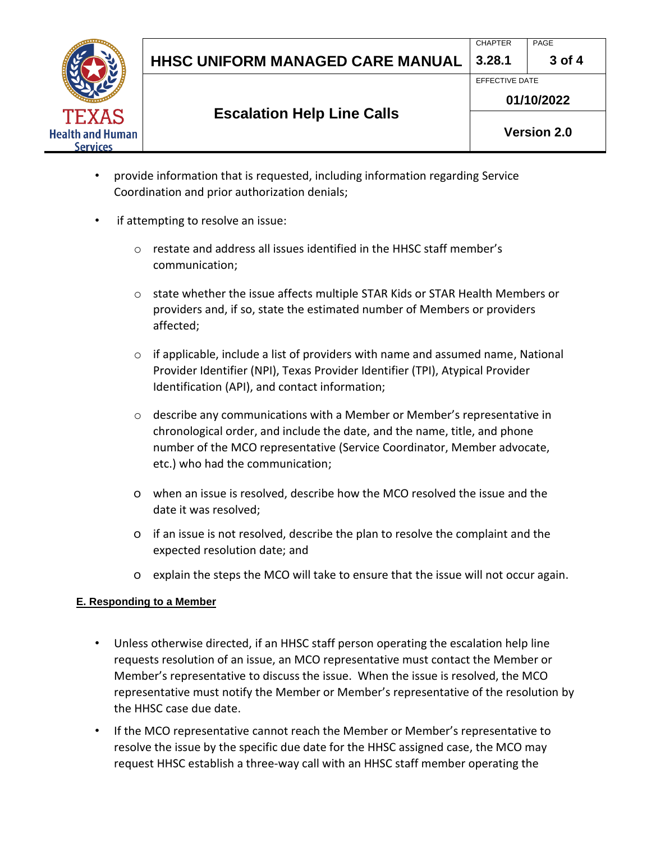

CHAPTER PAGE



## **Escalation Help Line Calls**

**01/10/2022**

**Version 2.0**

- provide information that is requested, including information regarding Service Coordination and prior authorization denials;
- if attempting to resolve an issue:
	- o restate and address all issues identified in the HHSC staff member's communication;
	- o state whether the issue affects multiple STAR Kids or STAR Health Members or providers and, if so, state the estimated number of Members or providers affected;
	- $\circ$  if applicable, include a list of providers with name and assumed name, National Provider Identifier (NPI), Texas Provider Identifier (TPI), Atypical Provider Identification (API), and contact information;
	- o describe any communications with a Member or Member's representative in chronological order, and include the date, and the name, title, and phone number of the MCO representative (Service Coordinator, Member advocate, etc.) who had the communication;
	- o when an issue is resolved, describe how the MCO resolved the issue and the date it was resolved;
	- o if an issue is not resolved, describe the plan to resolve the complaint and the expected resolution date; and
	- o explain the steps the MCO will take to ensure that the issue will not occur again.

### **E. Responding to a Member**

- Unless otherwise directed, if an HHSC staff person operating the escalation help line requests resolution of an issue, an MCO representative must contact the Member or Member's representative to discuss the issue. When the issue is resolved, the MCO representative must notify the Member or Member's representative of the resolution by the HHSC case due date.
- If the MCO representative cannot reach the Member or Member's representative to resolve the issue by the specific due date for the HHSC assigned case, the MCO may request HHSC establish a three-way call with an HHSC staff member operating the